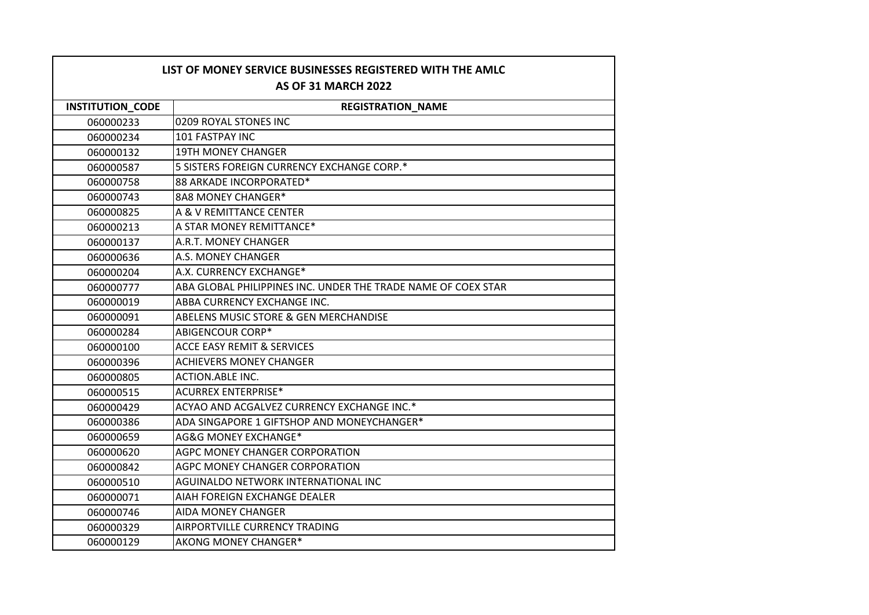| LIST OF MONEY SERVICE BUSINESSES REGISTERED WITH THE AMLC<br><b>AS OF 31 MARCH 2022</b> |                                                               |
|-----------------------------------------------------------------------------------------|---------------------------------------------------------------|
| <b>INSTITUTION_CODE</b>                                                                 | <b>REGISTRATION NAME</b>                                      |
| 060000233                                                                               | 0209 ROYAL STONES INC                                         |
| 060000234                                                                               | 101 FASTPAY INC                                               |
| 060000132                                                                               | <b>19TH MONEY CHANGER</b>                                     |
| 060000587                                                                               | 5 SISTERS FOREIGN CURRENCY EXCHANGE CORP.*                    |
| 060000758                                                                               | 88 ARKADE INCORPORATED*                                       |
| 060000743                                                                               | 8A8 MONEY CHANGER*                                            |
| 060000825                                                                               | A & V REMITTANCE CENTER                                       |
| 060000213                                                                               | A STAR MONEY REMITTANCE*                                      |
| 060000137                                                                               | A.R.T. MONEY CHANGER                                          |
| 060000636                                                                               | A.S. MONEY CHANGER                                            |
| 060000204                                                                               | A.X. CURRENCY EXCHANGE*                                       |
| 060000777                                                                               | ABA GLOBAL PHILIPPINES INC. UNDER THE TRADE NAME OF COEX STAR |
| 060000019                                                                               | ABBA CURRENCY EXCHANGE INC.                                   |
| 060000091                                                                               | ABELENS MUSIC STORE & GEN MERCHANDISE                         |
| 060000284                                                                               | <b>ABIGENCOUR CORP*</b>                                       |
| 060000100                                                                               | <b>ACCE EASY REMIT &amp; SERVICES</b>                         |
| 060000396                                                                               | <b>ACHIEVERS MONEY CHANGER</b>                                |
| 060000805                                                                               | <b>ACTION.ABLE INC.</b>                                       |
| 060000515                                                                               | <b>ACURREX ENTERPRISE*</b>                                    |
| 060000429                                                                               | ACYAO AND ACGALVEZ CURRENCY EXCHANGE INC.*                    |
| 060000386                                                                               | ADA SINGAPORE 1 GIFTSHOP AND MONEYCHANGER*                    |
| 060000659                                                                               | AG&G MONEY EXCHANGE*                                          |
| 060000620                                                                               | AGPC MONEY CHANGER CORPORATION                                |
| 060000842                                                                               | AGPC MONEY CHANGER CORPORATION                                |
| 060000510                                                                               | AGUINALDO NETWORK INTERNATIONAL INC                           |
| 060000071                                                                               | AIAH FOREIGN EXCHANGE DEALER                                  |
| 060000746                                                                               | <b>AIDA MONEY CHANGER</b>                                     |
| 060000329                                                                               | AIRPORTVILLE CURRENCY TRADING                                 |
| 060000129                                                                               | AKONG MONEY CHANGER*                                          |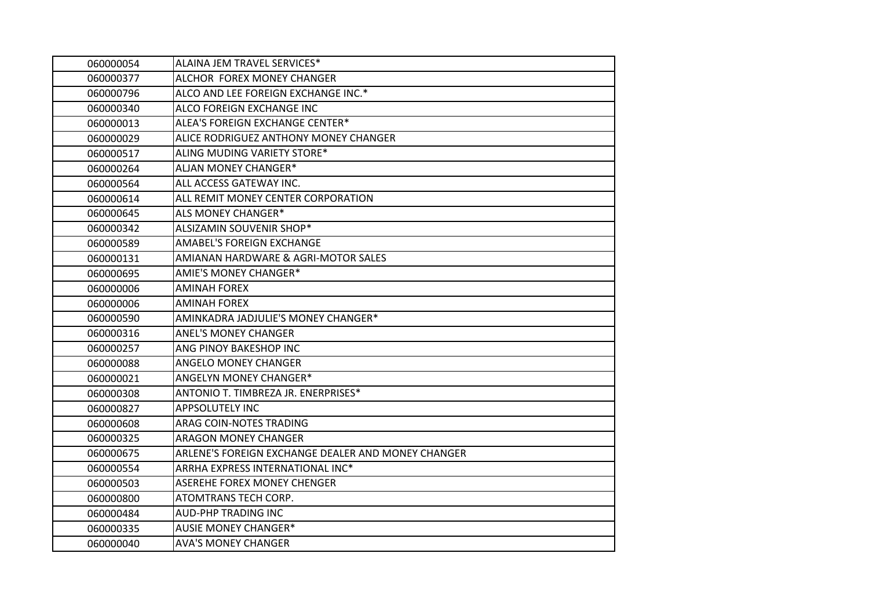| 060000054 | ALAINA JEM TRAVEL SERVICES*                        |
|-----------|----------------------------------------------------|
| 060000377 | ALCHOR FOREX MONEY CHANGER                         |
| 060000796 | ALCO AND LEE FOREIGN EXCHANGE INC.*                |
| 060000340 | ALCO FOREIGN EXCHANGE INC                          |
| 060000013 | ALEA'S FOREIGN EXCHANGE CENTER*                    |
| 060000029 | ALICE RODRIGUEZ ANTHONY MONEY CHANGER              |
| 060000517 | ALING MUDING VARIETY STORE*                        |
| 060000264 | <b>ALJAN MONEY CHANGER*</b>                        |
| 060000564 | ALL ACCESS GATEWAY INC.                            |
| 060000614 | ALL REMIT MONEY CENTER CORPORATION                 |
| 060000645 | ALS MONEY CHANGER*                                 |
| 060000342 | ALSIZAMIN SOUVENIR SHOP*                           |
| 060000589 | AMABEL'S FOREIGN EXCHANGE                          |
| 060000131 | AMIANAN HARDWARE & AGRI-MOTOR SALES                |
| 060000695 | <b>AMIE'S MONEY CHANGER*</b>                       |
| 060000006 | <b>AMINAH FOREX</b>                                |
| 060000006 | <b>AMINAH FOREX</b>                                |
| 060000590 | AMINKADRA JADJULIE'S MONEY CHANGER*                |
| 060000316 | <b>ANEL'S MONEY CHANGER</b>                        |
| 060000257 | ANG PINOY BAKESHOP INC                             |
| 060000088 | ANGELO MONEY CHANGER                               |
| 060000021 | ANGELYN MONEY CHANGER*                             |
| 060000308 | ANTONIO T. TIMBREZA JR. ENERPRISES*                |
| 060000827 | APPSOLUTELY INC                                    |
| 060000608 | ARAG COIN-NOTES TRADING                            |
| 060000325 | <b>ARAGON MONEY CHANGER</b>                        |
| 060000675 | ARLENE'S FOREIGN EXCHANGE DEALER AND MONEY CHANGER |
| 060000554 | ARRHA EXPRESS INTERNATIONAL INC*                   |
| 060000503 | <b>ASEREHE FOREX MONEY CHENGER</b>                 |
| 060000800 | ATOMTRANS TECH CORP.                               |
| 060000484 | <b>AUD-PHP TRADING INC</b>                         |
| 060000335 | <b>AUSIE MONEY CHANGER*</b>                        |
| 060000040 | <b>AVA'S MONEY CHANGER</b>                         |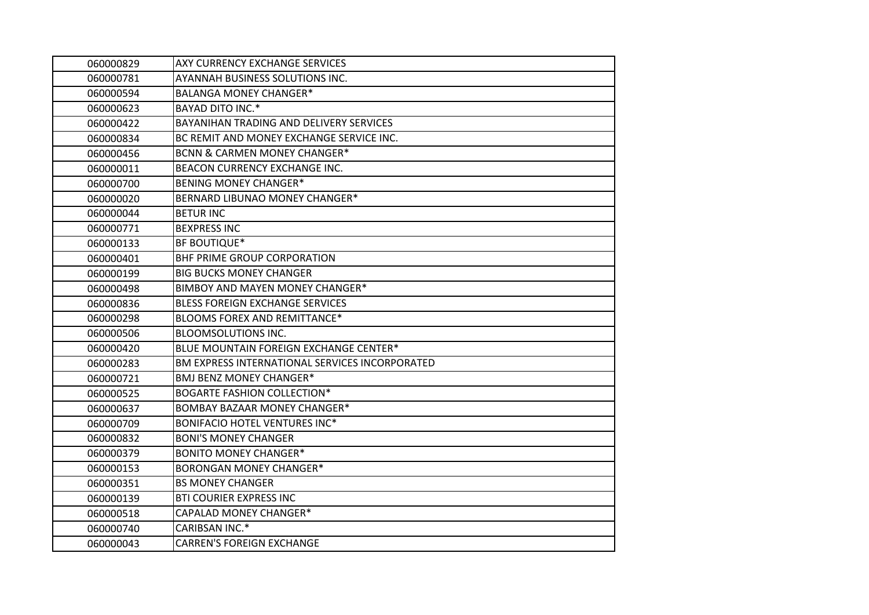| 060000829 | AXY CURRENCY EXCHANGE SERVICES                 |
|-----------|------------------------------------------------|
| 060000781 | AYANNAH BUSINESS SOLUTIONS INC.                |
| 060000594 | <b>BALANGA MONEY CHANGER*</b>                  |
| 060000623 | <b>BAYAD DITO INC.*</b>                        |
| 060000422 | BAYANIHAN TRADING AND DELIVERY SERVICES        |
| 060000834 | BC REMIT AND MONEY EXCHANGE SERVICE INC.       |
| 060000456 | <b>BCNN &amp; CARMEN MONEY CHANGER*</b>        |
| 060000011 | BEACON CURRENCY EXCHANGE INC.                  |
| 060000700 | <b>BENING MONEY CHANGER*</b>                   |
| 060000020 | BERNARD LIBUNAO MONEY CHANGER*                 |
| 060000044 | <b>BETUR INC</b>                               |
| 060000771 | <b>BEXPRESS INC</b>                            |
| 060000133 | <b>BF BOUTIQUE*</b>                            |
| 060000401 | BHF PRIME GROUP CORPORATION                    |
| 060000199 | <b>BIG BUCKS MONEY CHANGER</b>                 |
| 060000498 | BIMBOY AND MAYEN MONEY CHANGER*                |
| 060000836 | <b>BLESS FOREIGN EXCHANGE SERVICES</b>         |
| 060000298 | <b>BLOOMS FOREX AND REMITTANCE*</b>            |
| 060000506 | <b>BLOOMSOLUTIONS INC.</b>                     |
| 060000420 | BLUE MOUNTAIN FOREIGN EXCHANGE CENTER*         |
| 060000283 | BM EXPRESS INTERNATIONAL SERVICES INCORPORATED |
| 060000721 | <b>BMJ BENZ MONEY CHANGER*</b>                 |
| 060000525 | <b>BOGARTE FASHION COLLECTION*</b>             |
| 060000637 | <b>BOMBAY BAZAAR MONEY CHANGER*</b>            |
| 060000709 | <b>BONIFACIO HOTEL VENTURES INC*</b>           |
| 060000832 | <b>BONI'S MONEY CHANGER</b>                    |
| 060000379 | <b>BONITO MONEY CHANGER*</b>                   |
| 060000153 | <b>BORONGAN MONEY CHANGER*</b>                 |
| 060000351 | <b>BS MONEY CHANGER</b>                        |
| 060000139 | <b>BTI COURIER EXPRESS INC</b>                 |
| 060000518 | CAPALAD MONEY CHANGER*                         |
| 060000740 | CARIBSAN INC.*                                 |
| 060000043 | <b>CARREN'S FOREIGN EXCHANGE</b>               |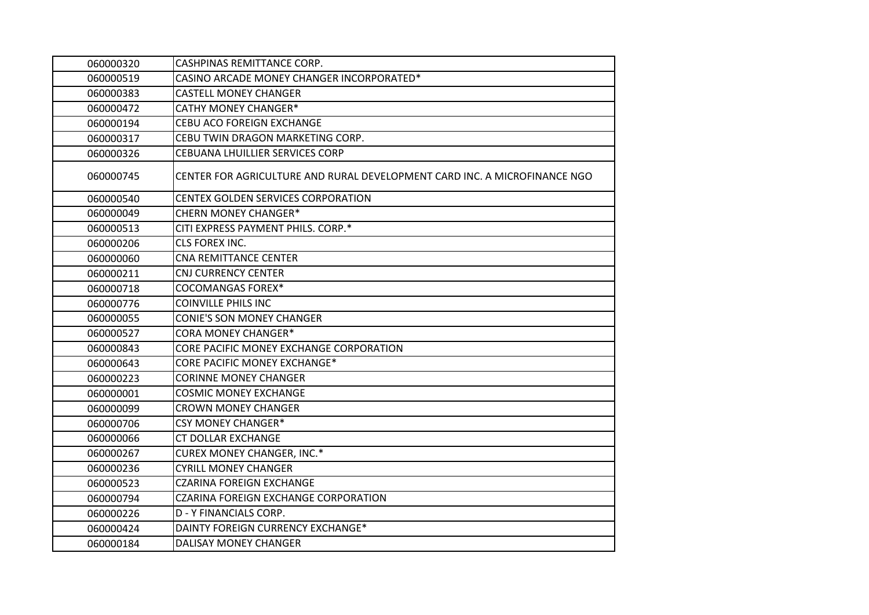| 060000320 | CASHPINAS REMITTANCE CORP.                                                |
|-----------|---------------------------------------------------------------------------|
| 060000519 | CASINO ARCADE MONEY CHANGER INCORPORATED*                                 |
| 060000383 | <b>CASTELL MONEY CHANGER</b>                                              |
| 060000472 | <b>CATHY MONEY CHANGER*</b>                                               |
| 060000194 | CEBU ACO FOREIGN EXCHANGE                                                 |
| 060000317 | CEBU TWIN DRAGON MARKETING CORP.                                          |
| 060000326 | CEBUANA LHUILLIER SERVICES CORP                                           |
| 060000745 | CENTER FOR AGRICULTURE AND RURAL DEVELOPMENT CARD INC. A MICROFINANCE NGO |
| 060000540 | CENTEX GOLDEN SERVICES CORPORATION                                        |
| 060000049 | <b>CHERN MONEY CHANGER*</b>                                               |
| 060000513 | CITI EXPRESS PAYMENT PHILS. CORP.*                                        |
| 060000206 | CLS FOREX INC.                                                            |
| 060000060 | <b>CNA REMITTANCE CENTER</b>                                              |
| 060000211 | <b>CNJ CURRENCY CENTER</b>                                                |
| 060000718 | <b>COCOMANGAS FOREX*</b>                                                  |
| 060000776 | <b>COINVILLE PHILS INC</b>                                                |
| 060000055 | <b>CONIE'S SON MONEY CHANGER</b>                                          |
| 060000527 | <b>CORA MONEY CHANGER*</b>                                                |
| 060000843 | CORE PACIFIC MONEY EXCHANGE CORPORATION                                   |
| 060000643 | <b>CORE PACIFIC MONEY EXCHANGE*</b>                                       |
| 060000223 | <b>CORINNE MONEY CHANGER</b>                                              |
| 060000001 | <b>COSMIC MONEY EXCHANGE</b>                                              |
| 060000099 | <b>CROWN MONEY CHANGER</b>                                                |
| 060000706 | <b>CSY MONEY CHANGER*</b>                                                 |
| 060000066 | <b>CT DOLLAR EXCHANGE</b>                                                 |
| 060000267 | <b>CUREX MONEY CHANGER, INC.*</b>                                         |
| 060000236 | <b>CYRILL MONEY CHANGER</b>                                               |
| 060000523 | <b>CZARINA FOREIGN EXCHANGE</b>                                           |
| 060000794 | CZARINA FOREIGN EXCHANGE CORPORATION                                      |
| 060000226 | <b>D - Y FINANCIALS CORP.</b>                                             |
| 060000424 | DAINTY FOREIGN CURRENCY EXCHANGE*                                         |
| 060000184 | DALISAY MONEY CHANGER                                                     |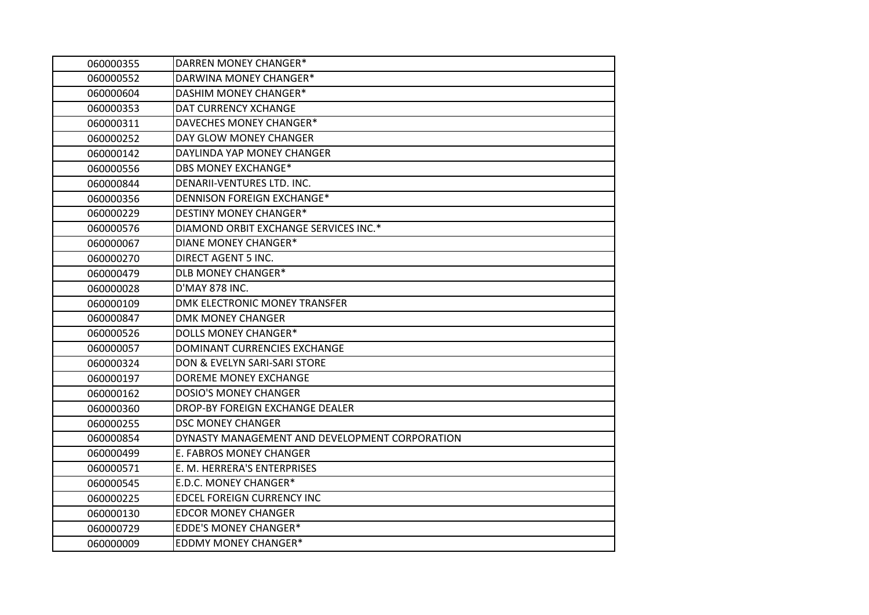| 060000355 | DARREN MONEY CHANGER*                          |
|-----------|------------------------------------------------|
| 060000552 | DARWINA MONEY CHANGER*                         |
| 060000604 | DASHIM MONEY CHANGER*                          |
| 060000353 | DAT CURRENCY XCHANGE                           |
| 060000311 | DAVECHES MONEY CHANGER*                        |
| 060000252 | DAY GLOW MONEY CHANGER                         |
| 060000142 | DAYLINDA YAP MONEY CHANGER                     |
| 060000556 | <b>DBS MONEY EXCHANGE*</b>                     |
| 060000844 | DENARII-VENTURES LTD. INC.                     |
| 060000356 | <b>DENNISON FOREIGN EXCHANGE*</b>              |
| 060000229 | <b>DESTINY MONEY CHANGER*</b>                  |
| 060000576 | DIAMOND ORBIT EXCHANGE SERVICES INC.*          |
| 060000067 | <b>DIANE MONEY CHANGER*</b>                    |
| 060000270 | <b>DIRECT AGENT 5 INC.</b>                     |
| 060000479 | <b>DLB MONEY CHANGER*</b>                      |
| 060000028 | D'MAY 878 INC.                                 |
| 060000109 | DMK ELECTRONIC MONEY TRANSFER                  |
| 060000847 | <b>DMK MONEY CHANGER</b>                       |
| 060000526 | <b>DOLLS MONEY CHANGER*</b>                    |
| 060000057 | DOMINANT CURRENCIES EXCHANGE                   |
| 060000324 | DON & EVELYN SARI-SARI STORE                   |
| 060000197 | DOREME MONEY EXCHANGE                          |
| 060000162 | <b>DOSIO'S MONEY CHANGER</b>                   |
| 060000360 | DROP-BY FOREIGN EXCHANGE DEALER                |
| 060000255 | <b>DSC MONEY CHANGER</b>                       |
| 060000854 | DYNASTY MANAGEMENT AND DEVELOPMENT CORPORATION |
| 060000499 | E. FABROS MONEY CHANGER                        |
| 060000571 | E. M. HERRERA'S ENTERPRISES                    |
| 060000545 | E.D.C. MONEY CHANGER*                          |
| 060000225 | <b>EDCEL FOREIGN CURRENCY INC</b>              |
| 060000130 | <b>EDCOR MONEY CHANGER</b>                     |
| 060000729 | <b>EDDE'S MONEY CHANGER*</b>                   |
| 060000009 | <b>EDDMY MONEY CHANGER*</b>                    |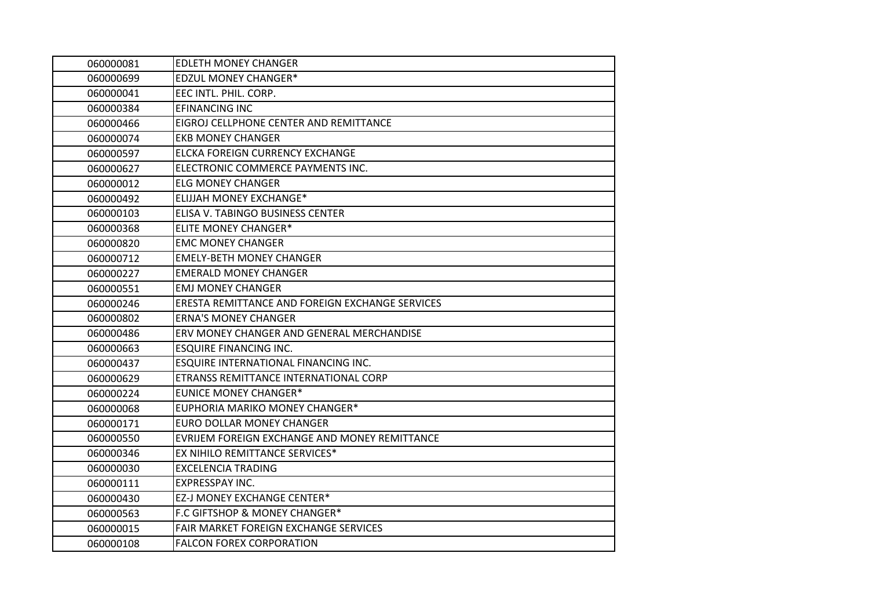| 060000081 | <b>EDLETH MONEY CHANGER</b>                     |
|-----------|-------------------------------------------------|
| 060000699 | <b>EDZUL MONEY CHANGER*</b>                     |
| 060000041 | EEC INTL. PHIL. CORP.                           |
| 060000384 | <b>EFINANCING INC</b>                           |
| 060000466 | EIGROJ CELLPHONE CENTER AND REMITTANCE          |
| 060000074 | <b>EKB MONEY CHANGER</b>                        |
| 060000597 | ELCKA FOREIGN CURRENCY EXCHANGE                 |
| 060000627 | ELECTRONIC COMMERCE PAYMENTS INC.               |
| 060000012 | <b>ELG MONEY CHANGER</b>                        |
| 060000492 | <b>ELIJJAH MONEY EXCHANGE*</b>                  |
| 060000103 | ELISA V. TABINGO BUSINESS CENTER                |
| 060000368 | <b>ELITE MONEY CHANGER*</b>                     |
| 060000820 | <b>EMC MONEY CHANGER</b>                        |
| 060000712 | <b>EMELY-BETH MONEY CHANGER</b>                 |
| 060000227 | EMERALD MONEY CHANGER                           |
| 060000551 | <b>EMJ MONEY CHANGER</b>                        |
| 060000246 | ERESTA REMITTANCE AND FOREIGN EXCHANGE SERVICES |
| 060000802 | <b>ERNA'S MONEY CHANGER</b>                     |
| 060000486 | ERV MONEY CHANGER AND GENERAL MERCHANDISE       |
| 060000663 | <b>ESQUIRE FINANCING INC.</b>                   |
| 060000437 | ESQUIRE INTERNATIONAL FINANCING INC.            |
| 060000629 | ETRANSS REMITTANCE INTERNATIONAL CORP           |
| 060000224 | <b>EUNICE MONEY CHANGER*</b>                    |
| 060000068 | EUPHORIA MARIKO MONEY CHANGER*                  |
| 060000171 | <b>EURO DOLLAR MONEY CHANGER</b>                |
| 060000550 | EVRIJEM FOREIGN EXCHANGE AND MONEY REMITTANCE   |
| 060000346 | EX NIHILO REMITTANCE SERVICES*                  |
| 060000030 | <b>EXCELENCIA TRADING</b>                       |
| 060000111 | <b>EXPRESSPAY INC.</b>                          |
| 060000430 | EZ-J MONEY EXCHANGE CENTER*                     |
| 060000563 | F.C GIFTSHOP & MONEY CHANGER*                   |
| 060000015 | FAIR MARKET FOREIGN EXCHANGE SERVICES           |
| 060000108 | <b>FALCON FOREX CORPORATION</b>                 |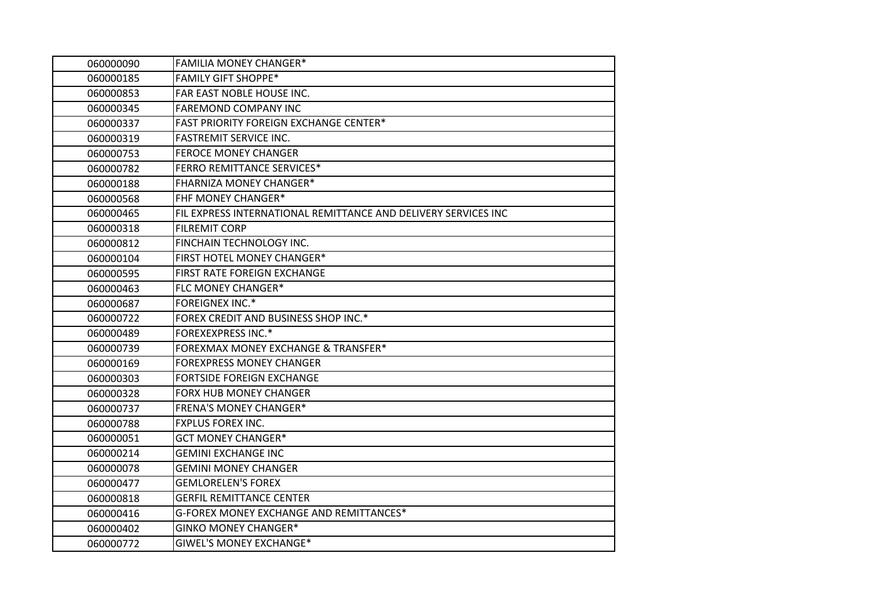| 060000090 | <b>FAMILIA MONEY CHANGER*</b>                                  |
|-----------|----------------------------------------------------------------|
| 060000185 | <b>FAMILY GIFT SHOPPE*</b>                                     |
| 060000853 | FAR EAST NOBLE HOUSE INC.                                      |
| 060000345 | <b>FAREMOND COMPANY INC</b>                                    |
| 060000337 | FAST PRIORITY FOREIGN EXCHANGE CENTER*                         |
| 060000319 | <b>FASTREMIT SERVICE INC.</b>                                  |
| 060000753 | <b>FEROCE MONEY CHANGER</b>                                    |
| 060000782 | <b>FERRO REMITTANCE SERVICES*</b>                              |
| 060000188 | <b>FHARNIZA MONEY CHANGER*</b>                                 |
| 060000568 | <b>FHF MONEY CHANGER*</b>                                      |
| 060000465 | FIL EXPRESS INTERNATIONAL REMITTANCE AND DELIVERY SERVICES INC |
| 060000318 | <b>FILREMIT CORP</b>                                           |
| 060000812 | FINCHAIN TECHNOLOGY INC.                                       |
| 060000104 | FIRST HOTEL MONEY CHANGER*                                     |
| 060000595 | FIRST RATE FOREIGN EXCHANGE                                    |
| 060000463 | FLC MONEY CHANGER*                                             |
| 060000687 | <b>FOREIGNEX INC.*</b>                                         |
| 060000722 | FOREX CREDIT AND BUSINESS SHOP INC.*                           |
| 060000489 | <b>FOREXEXPRESS INC.*</b>                                      |
| 060000739 | FOREXMAX MONEY EXCHANGE & TRANSFER*                            |
| 060000169 | <b>FOREXPRESS MONEY CHANGER</b>                                |
| 060000303 | <b>FORTSIDE FOREIGN EXCHANGE</b>                               |
| 060000328 | <b>FORX HUB MONEY CHANGER</b>                                  |
| 060000737 | <b>FRENA'S MONEY CHANGER*</b>                                  |
| 060000788 | <b>FXPLUS FOREX INC.</b>                                       |
| 060000051 | <b>GCT MONEY CHANGER*</b>                                      |
| 060000214 | <b>GEMINI EXCHANGE INC</b>                                     |
| 060000078 | <b>GEMINI MONEY CHANGER</b>                                    |
| 060000477 | <b>GEMLORELEN'S FOREX</b>                                      |
| 060000818 | <b>GERFIL REMITTANCE CENTER</b>                                |
| 060000416 | G-FOREX MONEY EXCHANGE AND REMITTANCES*                        |
| 060000402 | <b>GINKO MONEY CHANGER*</b>                                    |
| 060000772 | <b>GIWEL'S MONEY EXCHANGE*</b>                                 |
|           |                                                                |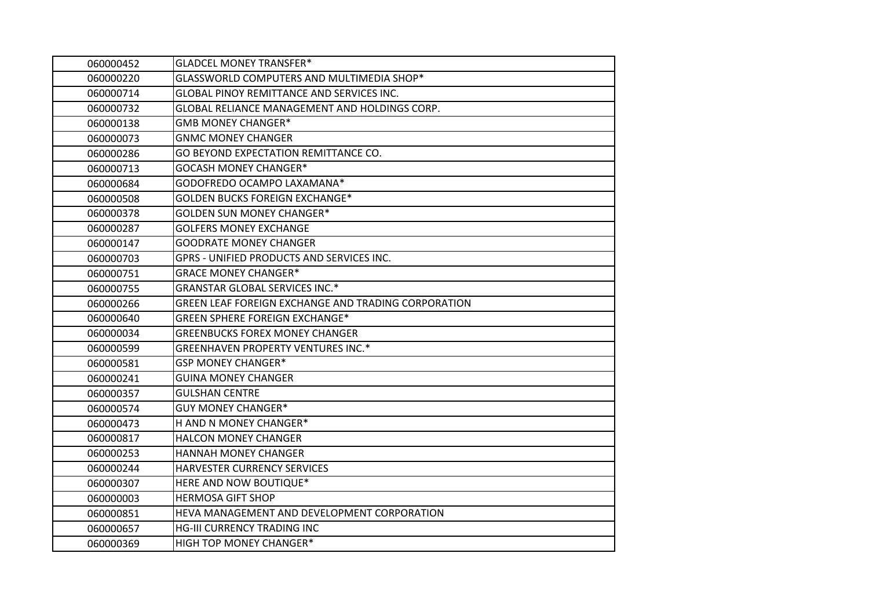| 060000452 | <b>GLADCEL MONEY TRANSFER*</b>                      |
|-----------|-----------------------------------------------------|
| 060000220 | GLASSWORLD COMPUTERS AND MULTIMEDIA SHOP*           |
| 060000714 | GLOBAL PINOY REMITTANCE AND SERVICES INC.           |
| 060000732 | GLOBAL RELIANCE MANAGEMENT AND HOLDINGS CORP.       |
| 060000138 | <b>GMB MONEY CHANGER*</b>                           |
| 060000073 | <b>GNMC MONEY CHANGER</b>                           |
| 060000286 | GO BEYOND EXPECTATION REMITTANCE CO.                |
| 060000713 | <b>GOCASH MONEY CHANGER*</b>                        |
| 060000684 | GODOFREDO OCAMPO LAXAMANA*                          |
| 060000508 | <b>GOLDEN BUCKS FOREIGN EXCHANGE*</b>               |
| 060000378 | <b>GOLDEN SUN MONEY CHANGER*</b>                    |
| 060000287 | <b>GOLFERS MONEY EXCHANGE</b>                       |
| 060000147 | <b>GOODRATE MONEY CHANGER</b>                       |
| 060000703 | GPRS - UNIFIED PRODUCTS AND SERVICES INC.           |
| 060000751 | <b>GRACE MONEY CHANGER*</b>                         |
| 060000755 | <b>GRANSTAR GLOBAL SERVICES INC.*</b>               |
| 060000266 | GREEN LEAF FOREIGN EXCHANGE AND TRADING CORPORATION |
| 060000640 | <b>GREEN SPHERE FOREIGN EXCHANGE*</b>               |
| 060000034 | <b>GREENBUCKS FOREX MONEY CHANGER</b>               |
| 060000599 | <b>GREENHAVEN PROPERTY VENTURES INC.*</b>           |
| 060000581 | <b>GSP MONEY CHANGER*</b>                           |
| 060000241 | <b>GUINA MONEY CHANGER</b>                          |
| 060000357 | <b>GULSHAN CENTRE</b>                               |
| 060000574 | <b>GUY MONEY CHANGER*</b>                           |
| 060000473 | H AND N MONEY CHANGER*                              |
| 060000817 | <b>HALCON MONEY CHANGER</b>                         |
| 060000253 | HANNAH MONEY CHANGER                                |
| 060000244 | HARVESTER CURRENCY SERVICES                         |
| 060000307 | HERE AND NOW BOUTIQUE*                              |
| 060000003 | <b>HERMOSA GIFT SHOP</b>                            |
| 060000851 | HEVA MANAGEMENT AND DEVELOPMENT CORPORATION         |
| 060000657 | <b>HG-III CURRENCY TRADING INC</b>                  |
| 060000369 | HIGH TOP MONEY CHANGER*                             |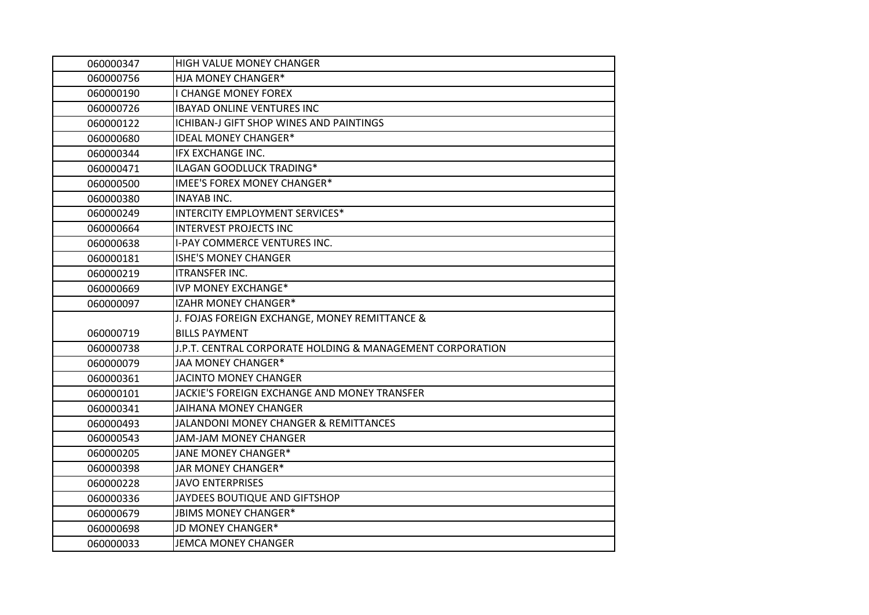| 060000347 | HIGH VALUE MONEY CHANGER                                  |
|-----------|-----------------------------------------------------------|
| 060000756 | HJA MONEY CHANGER*                                        |
| 060000190 | <b>I CHANGE MONEY FOREX</b>                               |
| 060000726 | <b>IBAYAD ONLINE VENTURES INC</b>                         |
| 060000122 | ICHIBAN-J GIFT SHOP WINES AND PAINTINGS                   |
| 060000680 | <b>IDEAL MONEY CHANGER*</b>                               |
| 060000344 | IFX EXCHANGE INC.                                         |
| 060000471 | ILAGAN GOODLUCK TRADING*                                  |
| 060000500 | <b>IMEE'S FOREX MONEY CHANGER*</b>                        |
| 060000380 | <b>INAYAB INC.</b>                                        |
| 060000249 | <b>INTERCITY EMPLOYMENT SERVICES*</b>                     |
| 060000664 | <b>INTERVEST PROJECTS INC</b>                             |
| 060000638 | <b>I-PAY COMMERCE VENTURES INC.</b>                       |
| 060000181 | <b>ISHE'S MONEY CHANGER</b>                               |
| 060000219 | <b>ITRANSFER INC.</b>                                     |
| 060000669 | <b>IVP MONEY EXCHANGE*</b>                                |
| 060000097 | IZAHR MONEY CHANGER*                                      |
|           | J. FOJAS FOREIGN EXCHANGE, MONEY REMITTANCE &             |
| 060000719 | <b>BILLS PAYMENT</b>                                      |
| 060000738 | J.P.T. CENTRAL CORPORATE HOLDING & MANAGEMENT CORPORATION |
| 060000079 | JAA MONEY CHANGER*                                        |
| 060000361 | JACINTO MONEY CHANGER                                     |
| 060000101 | JACKIE'S FOREIGN EXCHANGE AND MONEY TRANSFER              |
| 060000341 | <b>JAIHANA MONEY CHANGER</b>                              |
| 060000493 | JALANDONI MONEY CHANGER & REMITTANCES                     |
| 060000543 | <b>JAM-JAM MONEY CHANGER</b>                              |
| 060000205 | JANE MONEY CHANGER*                                       |
| 060000398 | JAR MONEY CHANGER*                                        |
| 060000228 | <b>JAVO ENTERPRISES</b>                                   |
| 060000336 | JAYDEES BOUTIQUE AND GIFTSHOP                             |
| 060000679 | JBIMS MONEY CHANGER*                                      |
| 060000698 | JD MONEY CHANGER*                                         |
| 060000033 | <b>JEMCA MONEY CHANGER</b>                                |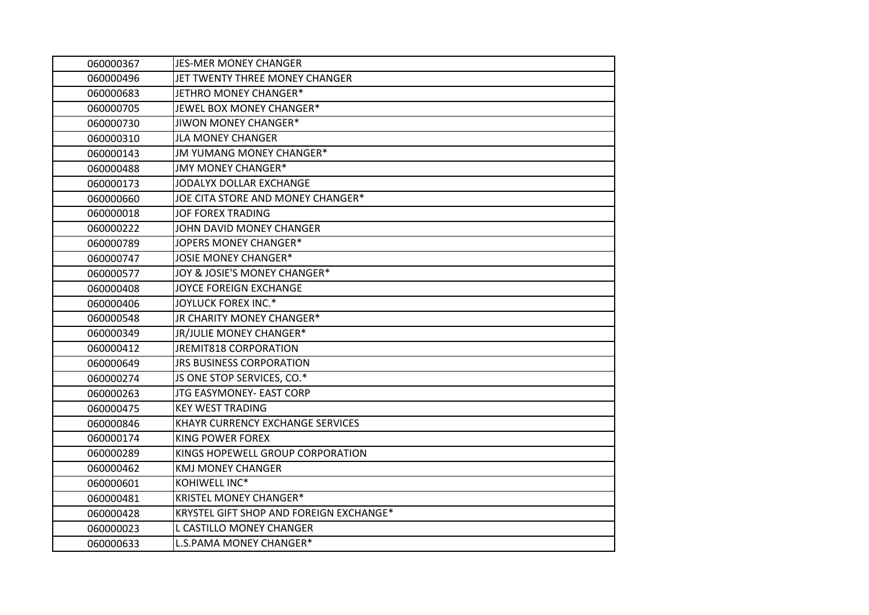| 060000367 | <b>JES-MER MONEY CHANGER</b>            |
|-----------|-----------------------------------------|
| 060000496 | JET TWENTY THREE MONEY CHANGER          |
| 060000683 | JETHRO MONEY CHANGER*                   |
| 060000705 | JEWEL BOX MONEY CHANGER*                |
| 060000730 | JIWON MONEY CHANGER*                    |
| 060000310 | <b>JLA MONEY CHANGER</b>                |
| 060000143 | JM YUMANG MONEY CHANGER*                |
| 060000488 | JMY MONEY CHANGER*                      |
| 060000173 | JODALYX DOLLAR EXCHANGE                 |
| 060000660 | JOE CITA STORE AND MONEY CHANGER*       |
| 060000018 | <b>JOF FOREX TRADING</b>                |
| 060000222 | JOHN DAVID MONEY CHANGER                |
| 060000789 | JOPERS MONEY CHANGER*                   |
| 060000747 | JOSIE MONEY CHANGER*                    |
| 060000577 | JOY & JOSIE'S MONEY CHANGER*            |
| 060000408 | JOYCE FOREIGN EXCHANGE                  |
| 060000406 | JOYLUCK FOREX INC.*                     |
| 060000548 | JR CHARITY MONEY CHANGER*               |
| 060000349 | JR/JULIE MONEY CHANGER*                 |
| 060000412 | <b>JREMIT818 CORPORATION</b>            |
| 060000649 | JRS BUSINESS CORPORATION                |
| 060000274 | JS ONE STOP SERVICES, CO.*              |
| 060000263 | JTG EASYMONEY- EAST CORP                |
| 060000475 | <b>KEY WEST TRADING</b>                 |
| 060000846 | KHAYR CURRENCY EXCHANGE SERVICES        |
| 060000174 | <b>KING POWER FOREX</b>                 |
| 060000289 | KINGS HOPEWELL GROUP CORPORATION        |
| 060000462 | <b>KMJ MONEY CHANGER</b>                |
| 060000601 | KOHIWELL INC*                           |
| 060000481 | <b>KRISTEL MONEY CHANGER*</b>           |
| 060000428 | KRYSTEL GIFT SHOP AND FOREIGN EXCHANGE* |
| 060000023 | L CASTILLO MONEY CHANGER                |
| 060000633 | L.S.PAMA MONEY CHANGER*                 |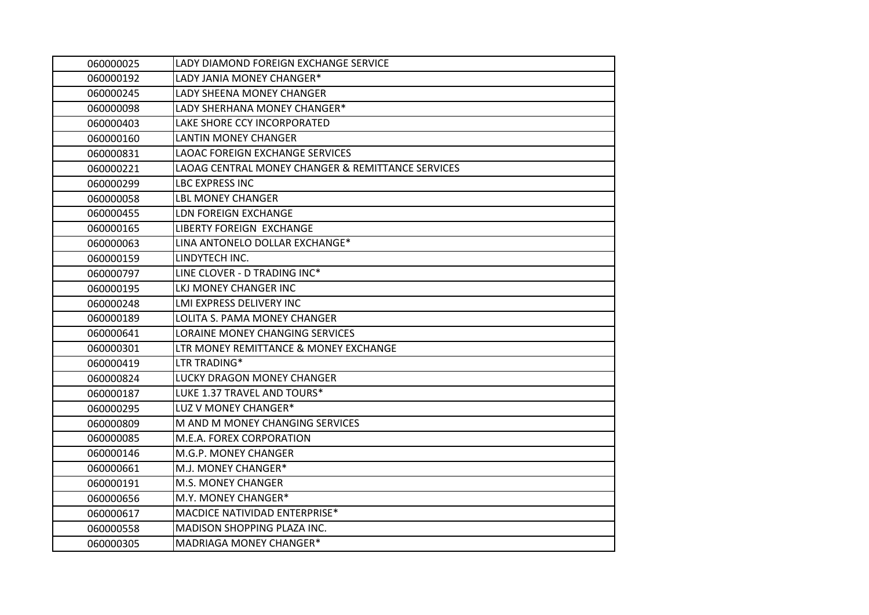| 060000025 | LADY DIAMOND FOREIGN EXCHANGE SERVICE             |
|-----------|---------------------------------------------------|
| 060000192 | LADY JANIA MONEY CHANGER*                         |
| 060000245 | LADY SHEENA MONEY CHANGER                         |
| 060000098 | LADY SHERHANA MONEY CHANGER*                      |
| 060000403 | LAKE SHORE CCY INCORPORATED                       |
| 060000160 | <b>LANTIN MONEY CHANGER</b>                       |
| 060000831 | <b>LAOAC FOREIGN EXCHANGE SERVICES</b>            |
| 060000221 | LAOAG CENTRAL MONEY CHANGER & REMITTANCE SERVICES |
| 060000299 | <b>LBC EXPRESS INC</b>                            |
| 060000058 | <b>LBL MONEY CHANGER</b>                          |
| 060000455 | LDN FOREIGN EXCHANGE                              |
| 060000165 | <b>LIBERTY FOREIGN EXCHANGE</b>                   |
| 060000063 | LINA ANTONELO DOLLAR EXCHANGE*                    |
| 060000159 | LINDYTECH INC.                                    |
| 060000797 | LINE CLOVER - D TRADING INC*                      |
| 060000195 | LKJ MONEY CHANGER INC                             |
| 060000248 | LMI EXPRESS DELIVERY INC                          |
| 060000189 | LOLITA S. PAMA MONEY CHANGER                      |
| 060000641 | LORAINE MONEY CHANGING SERVICES                   |
| 060000301 | LTR MONEY REMITTANCE & MONEY EXCHANGE             |
| 060000419 | LTR TRADING*                                      |
| 060000824 | LUCKY DRAGON MONEY CHANGER                        |
| 060000187 | LUKE 1.37 TRAVEL AND TOURS*                       |
| 060000295 | LUZ V MONEY CHANGER*                              |
| 060000809 | M AND M MONEY CHANGING SERVICES                   |
| 060000085 | M.E.A. FOREX CORPORATION                          |
| 060000146 | M.G.P. MONEY CHANGER                              |
| 060000661 | M.J. MONEY CHANGER*                               |
| 060000191 | M.S. MONEY CHANGER                                |
| 060000656 | M.Y. MONEY CHANGER*                               |
| 060000617 | MACDICE NATIVIDAD ENTERPRISE*                     |
| 060000558 | MADISON SHOPPING PLAZA INC.                       |
| 060000305 | MADRIAGA MONEY CHANGER*                           |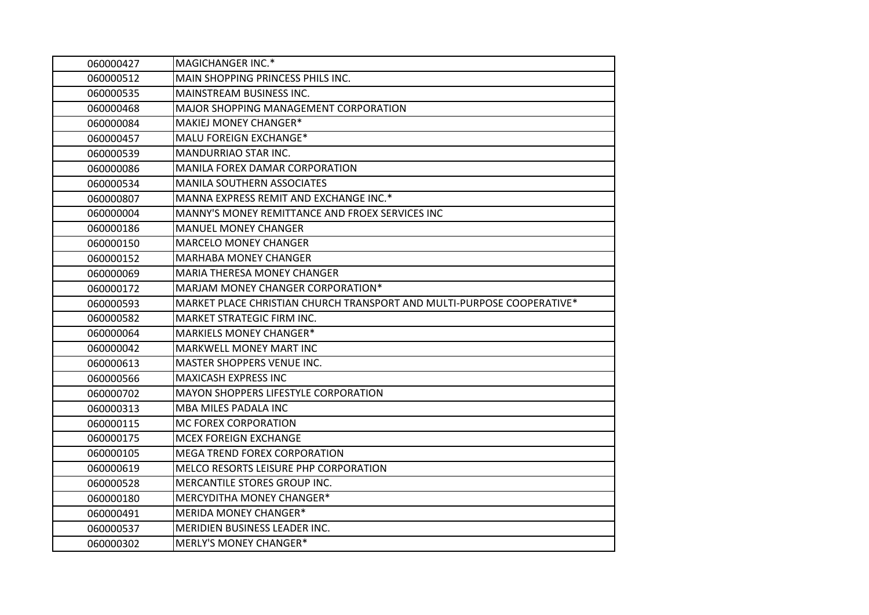| 060000427 | MAGICHANGER INC.*                                                      |
|-----------|------------------------------------------------------------------------|
| 060000512 | MAIN SHOPPING PRINCESS PHILS INC.                                      |
| 060000535 | MAINSTREAM BUSINESS INC.                                               |
| 060000468 | MAJOR SHOPPING MANAGEMENT CORPORATION                                  |
| 060000084 | MAKIEJ MONEY CHANGER*                                                  |
| 060000457 | MALU FOREIGN EXCHANGE*                                                 |
| 060000539 | MANDURRIAO STAR INC.                                                   |
| 060000086 | MANILA FOREX DAMAR CORPORATION                                         |
| 060000534 | <b>MANILA SOUTHERN ASSOCIATES</b>                                      |
| 060000807 | MANNA EXPRESS REMIT AND EXCHANGE INC.*                                 |
| 060000004 | MANNY'S MONEY REMITTANCE AND FROEX SERVICES INC                        |
| 060000186 | <b>MANUEL MONEY CHANGER</b>                                            |
| 060000150 | <b>MARCELO MONEY CHANGER</b>                                           |
| 060000152 | <b>MARHABA MONEY CHANGER</b>                                           |
| 060000069 | MARIA THERESA MONEY CHANGER                                            |
| 060000172 | MARJAM MONEY CHANGER CORPORATION*                                      |
| 060000593 | MARKET PLACE CHRISTIAN CHURCH TRANSPORT AND MULTI-PURPOSE COOPERATIVE* |
| 060000582 | MARKET STRATEGIC FIRM INC.                                             |
| 060000064 | MARKIELS MONEY CHANGER*                                                |
| 060000042 | MARKWELL MONEY MART INC                                                |
| 060000613 | MASTER SHOPPERS VENUE INC.                                             |
| 060000566 | <b>MAXICASH EXPRESS INC</b>                                            |
| 060000702 | MAYON SHOPPERS LIFESTYLE CORPORATION                                   |
| 060000313 | MBA MILES PADALA INC                                                   |
| 060000115 | MC FOREX CORPORATION                                                   |
| 060000175 | MCEX FOREIGN EXCHANGE                                                  |
| 060000105 | MEGA TREND FOREX CORPORATION                                           |
| 060000619 | MELCO RESORTS LEISURE PHP CORPORATION                                  |
| 060000528 | MERCANTILE STORES GROUP INC.                                           |
| 060000180 | MERCYDITHA MONEY CHANGER*                                              |
| 060000491 | <b>MERIDA MONEY CHANGER*</b>                                           |
| 060000537 | MERIDIEN BUSINESS LEADER INC.                                          |
| 060000302 | <b>MERLY'S MONEY CHANGER*</b>                                          |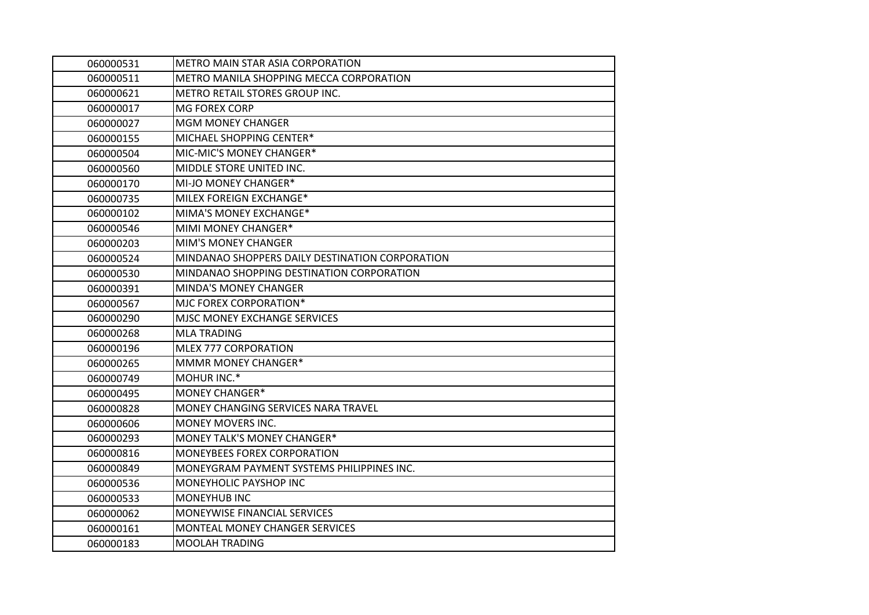| 060000531 | METRO MAIN STAR ASIA CORPORATION                |
|-----------|-------------------------------------------------|
| 060000511 | METRO MANILA SHOPPING MECCA CORPORATION         |
| 060000621 | METRO RETAIL STORES GROUP INC.                  |
| 060000017 | <b>MG FOREX CORP</b>                            |
| 060000027 | <b>MGM MONEY CHANGER</b>                        |
| 060000155 | MICHAEL SHOPPING CENTER*                        |
| 060000504 | MIC-MIC'S MONEY CHANGER*                        |
| 060000560 | MIDDLE STORE UNITED INC.                        |
| 060000170 | MI-JO MONEY CHANGER*                            |
| 060000735 | MILEX FOREIGN EXCHANGE*                         |
| 060000102 | MIMA'S MONEY EXCHANGE*                          |
| 060000546 | MIMI MONEY CHANGER*                             |
| 060000203 | <b>MIM'S MONEY CHANGER</b>                      |
| 060000524 | MINDANAO SHOPPERS DAILY DESTINATION CORPORATION |
| 060000530 | MINDANAO SHOPPING DESTINATION CORPORATION       |
| 060000391 | <b>MINDA'S MONEY CHANGER</b>                    |
| 060000567 | MJC FOREX CORPORATION*                          |
| 060000290 | MJSC MONEY EXCHANGE SERVICES                    |
| 060000268 | <b>MLA TRADING</b>                              |
| 060000196 | MLEX 777 CORPORATION                            |
| 060000265 | MMMR MONEY CHANGER*                             |
| 060000749 | MOHUR INC.*                                     |
| 060000495 | <b>MONEY CHANGER*</b>                           |
| 060000828 | MONEY CHANGING SERVICES NARA TRAVEL             |
| 060000606 | MONEY MOVERS INC.                               |
| 060000293 | MONEY TALK'S MONEY CHANGER*                     |
| 060000816 | MONEYBEES FOREX CORPORATION                     |
| 060000849 | MONEYGRAM PAYMENT SYSTEMS PHILIPPINES INC.      |
| 060000536 | MONEYHOLIC PAYSHOP INC                          |
| 060000533 | MONEYHUB INC                                    |
| 060000062 | MONEYWISE FINANCIAL SERVICES                    |
| 060000161 | MONTEAL MONEY CHANGER SERVICES                  |
| 060000183 | MOOLAH TRADING                                  |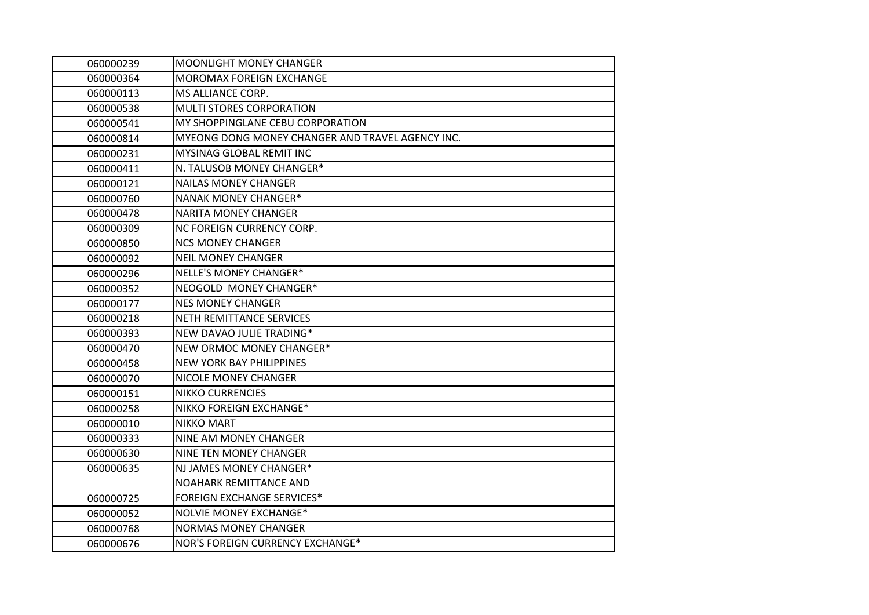| 060000239 | <b>MOONLIGHT MONEY CHANGER</b>                   |
|-----------|--------------------------------------------------|
| 060000364 | <b>MOROMAX FOREIGN EXCHANGE</b>                  |
| 060000113 | MS ALLIANCE CORP.                                |
| 060000538 | <b>MULTI STORES CORPORATION</b>                  |
| 060000541 | MY SHOPPINGLANE CEBU CORPORATION                 |
| 060000814 | MYEONG DONG MONEY CHANGER AND TRAVEL AGENCY INC. |
| 060000231 | MYSINAG GLOBAL REMIT INC                         |
| 060000411 | N. TALUSOB MONEY CHANGER*                        |
| 060000121 | <b>NAILAS MONEY CHANGER</b>                      |
| 060000760 | <b>NANAK MONEY CHANGER*</b>                      |
| 060000478 | <b>NARITA MONEY CHANGER</b>                      |
| 060000309 | NC FOREIGN CURRENCY CORP.                        |
| 060000850 | <b>NCS MONEY CHANGER</b>                         |
| 060000092 | <b>NEIL MONEY CHANGER</b>                        |
| 060000296 | NELLE'S MONEY CHANGER*                           |
| 060000352 | NEOGOLD MONEY CHANGER*                           |
| 060000177 | <b>NES MONEY CHANGER</b>                         |
| 060000218 | <b>NETH REMITTANCE SERVICES</b>                  |
| 060000393 | NEW DAVAO JULIE TRADING*                         |
| 060000470 | NEW ORMOC MONEY CHANGER*                         |
| 060000458 | <b>NEW YORK BAY PHILIPPINES</b>                  |
| 060000070 | NICOLE MONEY CHANGER                             |
| 060000151 | <b>NIKKO CURRENCIES</b>                          |
| 060000258 | NIKKO FOREIGN EXCHANGE*                          |
| 060000010 | <b>NIKKO MART</b>                                |
| 060000333 | NINE AM MONEY CHANGER                            |
| 060000630 | <b>NINE TEN MONEY CHANGER</b>                    |
| 060000635 | NJ JAMES MONEY CHANGER*                          |
|           | <b>NOAHARK REMITTANCE AND</b>                    |
| 060000725 | <b>FOREIGN EXCHANGE SERVICES*</b>                |
| 060000052 | <b>NOLVIE MONEY EXCHANGE*</b>                    |
| 060000768 | <b>NORMAS MONEY CHANGER</b>                      |
| 060000676 | NOR'S FOREIGN CURRENCY EXCHANGE*                 |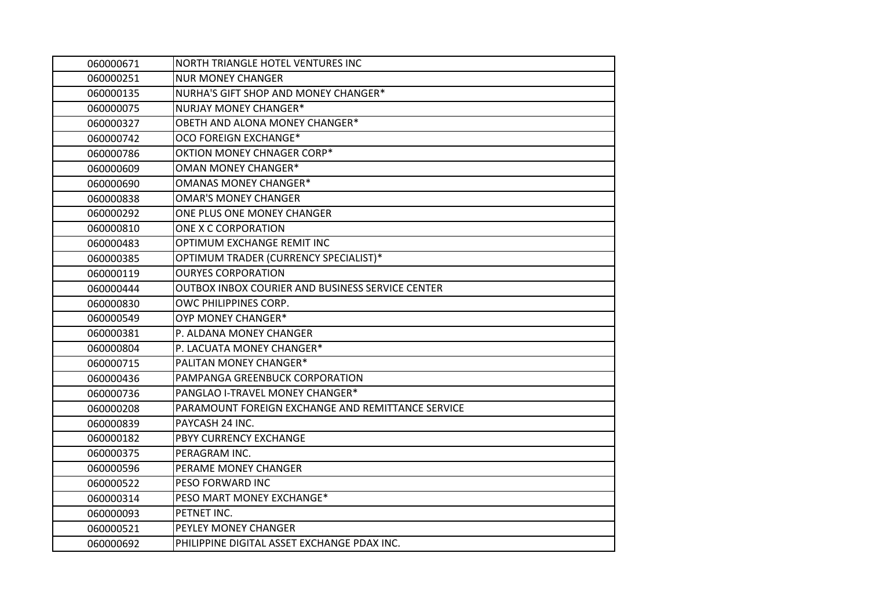| 060000671 | NORTH TRIANGLE HOTEL VENTURES INC                 |
|-----------|---------------------------------------------------|
| 060000251 | <b>NUR MONEY CHANGER</b>                          |
| 060000135 | NURHA'S GIFT SHOP AND MONEY CHANGER*              |
| 060000075 | <b>NURJAY MONEY CHANGER*</b>                      |
| 060000327 | OBETH AND ALONA MONEY CHANGER*                    |
| 060000742 | OCO FOREIGN EXCHANGE*                             |
| 060000786 | OKTION MONEY CHNAGER CORP*                        |
| 060000609 | <b>OMAN MONEY CHANGER*</b>                        |
| 060000690 | <b>OMANAS MONEY CHANGER*</b>                      |
| 060000838 | <b>OMAR'S MONEY CHANGER</b>                       |
| 060000292 | ONE PLUS ONE MONEY CHANGER                        |
| 060000810 | ONE X C CORPORATION                               |
| 060000483 | OPTIMUM EXCHANGE REMIT INC                        |
| 060000385 | OPTIMUM TRADER (CURRENCY SPECIALIST)*             |
| 060000119 | <b>OURYES CORPORATION</b>                         |
| 060000444 | OUTBOX INBOX COURIER AND BUSINESS SERVICE CENTER  |
| 060000830 | OWC PHILIPPINES CORP.                             |
| 060000549 | OYP MONEY CHANGER*                                |
| 060000381 | P. ALDANA MONEY CHANGER                           |
| 060000804 | P. LACUATA MONEY CHANGER*                         |
| 060000715 | PALITAN MONEY CHANGER*                            |
| 060000436 | PAMPANGA GREENBUCK CORPORATION                    |
| 060000736 | PANGLAO I-TRAVEL MONEY CHANGER*                   |
| 060000208 | PARAMOUNT FOREIGN EXCHANGE AND REMITTANCE SERVICE |
| 060000839 | PAYCASH 24 INC.                                   |
| 060000182 | PBYY CURRENCY EXCHANGE                            |
| 060000375 | PERAGRAM INC.                                     |
| 060000596 | PERAME MONEY CHANGER                              |
| 060000522 | PESO FORWARD INC                                  |
| 060000314 | PESO MART MONEY EXCHANGE*                         |
| 060000093 | PETNET INC.                                       |
| 060000521 | PEYLEY MONEY CHANGER                              |
| 060000692 | PHILIPPINE DIGITAL ASSET EXCHANGE PDAX INC.       |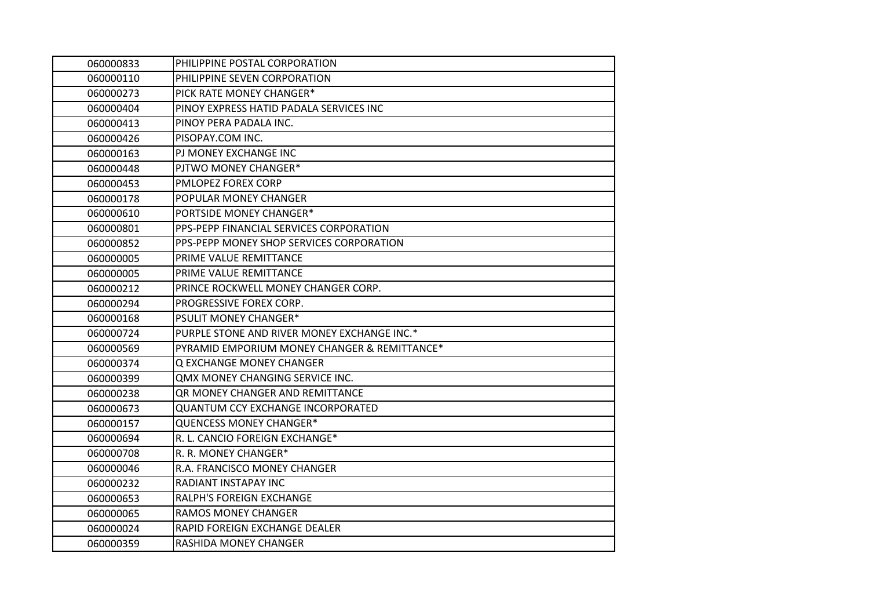| 060000833 | PHILIPPINE POSTAL CORPORATION                |
|-----------|----------------------------------------------|
| 060000110 | PHILIPPINE SEVEN CORPORATION                 |
| 060000273 | PICK RATE MONEY CHANGER*                     |
| 060000404 | PINOY EXPRESS HATID PADALA SERVICES INC      |
| 060000413 | PINOY PERA PADALA INC.                       |
| 060000426 | PISOPAY.COM INC.                             |
| 060000163 | PJ MONEY EXCHANGE INC                        |
| 060000448 | PJTWO MONEY CHANGER*                         |
| 060000453 | <b>PMLOPEZ FOREX CORP</b>                    |
| 060000178 | POPULAR MONEY CHANGER                        |
| 060000610 | PORTSIDE MONEY CHANGER*                      |
| 060000801 | PPS-PEPP FINANCIAL SERVICES CORPORATION      |
| 060000852 | PPS-PEPP MONEY SHOP SERVICES CORPORATION     |
| 060000005 | PRIME VALUE REMITTANCE                       |
| 060000005 | PRIME VALUE REMITTANCE                       |
| 060000212 | PRINCE ROCKWELL MONEY CHANGER CORP.          |
| 060000294 | PROGRESSIVE FOREX CORP.                      |
| 060000168 | <b>PSULIT MONEY CHANGER*</b>                 |
| 060000724 | PURPLE STONE AND RIVER MONEY EXCHANGE INC.*  |
| 060000569 | PYRAMID EMPORIUM MONEY CHANGER & REMITTANCE* |
| 060000374 | Q EXCHANGE MONEY CHANGER                     |
| 060000399 | <b>QMX MONEY CHANGING SERVICE INC.</b>       |
| 060000238 | <b>QR MONEY CHANGER AND REMITTANCE</b>       |
| 060000673 | <b>QUANTUM CCY EXCHANGE INCORPORATED</b>     |
| 060000157 | <b>QUENCESS MONEY CHANGER*</b>               |
| 060000694 | R. L. CANCIO FOREIGN EXCHANGE*               |
| 060000708 | R. R. MONEY CHANGER*                         |
| 060000046 | R.A. FRANCISCO MONEY CHANGER                 |
| 060000232 | RADIANT INSTAPAY INC                         |
| 060000653 | RALPH'S FOREIGN EXCHANGE                     |
| 060000065 | <b>RAMOS MONEY CHANGER</b>                   |
| 060000024 | RAPID FOREIGN EXCHANGE DEALER                |
| 060000359 | RASHIDA MONEY CHANGER                        |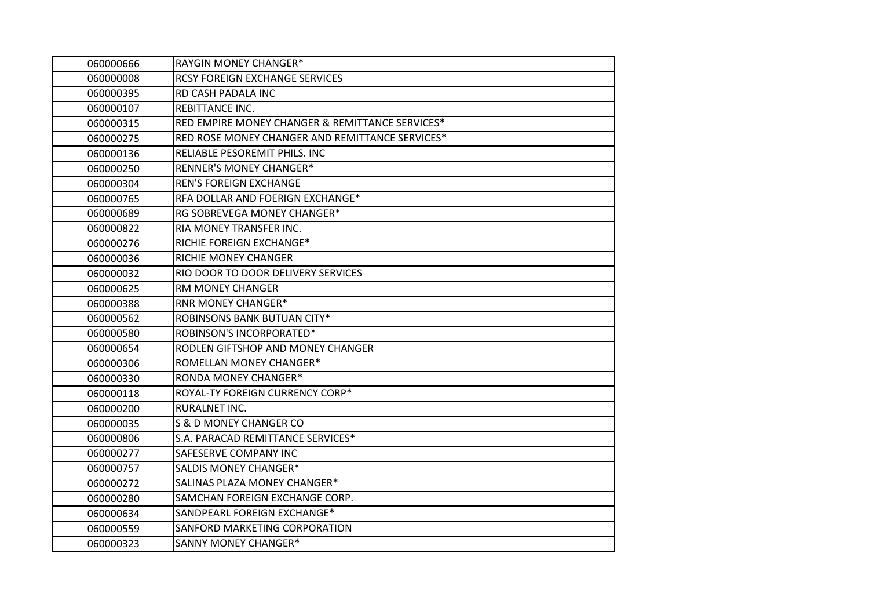| 060000666 | RAYGIN MONEY CHANGER*                           |
|-----------|-------------------------------------------------|
| 060000008 | RCSY FOREIGN EXCHANGE SERVICES                  |
| 060000395 | RD CASH PADALA INC                              |
| 060000107 | REBITTANCE INC.                                 |
| 060000315 | RED EMPIRE MONEY CHANGER & REMITTANCE SERVICES* |
| 060000275 | RED ROSE MONEY CHANGER AND REMITTANCE SERVICES* |
| 060000136 | RELIABLE PESOREMIT PHILS. INC                   |
| 060000250 | <b>RENNER'S MONEY CHANGER*</b>                  |
| 060000304 | <b>REN'S FOREIGN EXCHANGE</b>                   |
| 060000765 | RFA DOLLAR AND FOERIGN EXCHANGE*                |
| 060000689 | RG SOBREVEGA MONEY CHANGER*                     |
| 060000822 | RIA MONEY TRANSFER INC.                         |
| 060000276 | RICHIE FOREIGN EXCHANGE*                        |
| 060000036 | RICHIE MONEY CHANGER                            |
| 060000032 | RIO DOOR TO DOOR DELIVERY SERVICES              |
| 060000625 | RM MONEY CHANGER                                |
| 060000388 | <b>RNR MONEY CHANGER*</b>                       |
| 060000562 | ROBINSONS BANK BUTUAN CITY*                     |
| 060000580 | ROBINSON'S INCORPORATED*                        |
| 060000654 | RODLEN GIFTSHOP AND MONEY CHANGER               |
| 060000306 | ROMELLAN MONEY CHANGER*                         |
| 060000330 | <b>RONDA MONEY CHANGER*</b>                     |
| 060000118 | ROYAL-TY FOREIGN CURRENCY CORP*                 |
| 060000200 | RURALNET INC.                                   |
| 060000035 | S & D MONEY CHANGER CO                          |
| 060000806 | S.A. PARACAD REMITTANCE SERVICES*               |
| 060000277 | SAFESERVE COMPANY INC                           |
| 060000757 | <b>SALDIS MONEY CHANGER*</b>                    |
| 060000272 | SALINAS PLAZA MONEY CHANGER*                    |
| 060000280 | SAMCHAN FOREIGN EXCHANGE CORP.                  |
| 060000634 | SANDPEARL FOREIGN EXCHANGE*                     |
| 060000559 | SANFORD MARKETING CORPORATION                   |
| 060000323 | <b>SANNY MONEY CHANGER*</b>                     |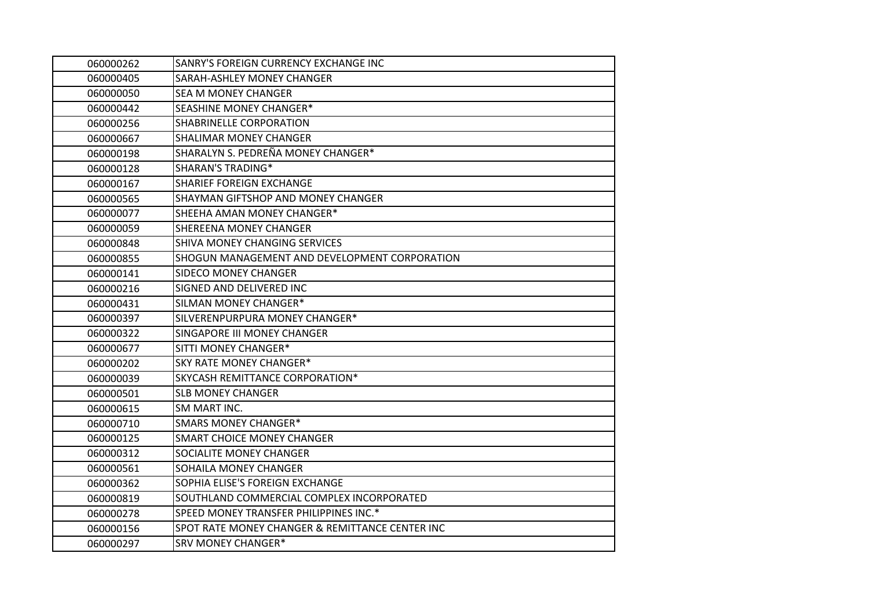| 060000262 | SANRY'S FOREIGN CURRENCY EXCHANGE INC           |
|-----------|-------------------------------------------------|
| 060000405 | SARAH-ASHLEY MONEY CHANGER                      |
| 060000050 | <b>SEA M MONEY CHANGER</b>                      |
| 060000442 | SEASHINE MONEY CHANGER*                         |
| 060000256 | SHABRINELLE CORPORATION                         |
| 060000667 | SHALIMAR MONEY CHANGER                          |
| 060000198 | SHARALYN S. PEDREÑA MONEY CHANGER*              |
| 060000128 | <b>SHARAN'S TRADING*</b>                        |
| 060000167 | <b>SHARIEF FOREIGN EXCHANGE</b>                 |
| 060000565 | SHAYMAN GIFTSHOP AND MONEY CHANGER              |
| 060000077 | SHEEHA AMAN MONEY CHANGER*                      |
| 060000059 | SHEREENA MONEY CHANGER                          |
| 060000848 | SHIVA MONEY CHANGING SERVICES                   |
| 060000855 | SHOGUN MANAGEMENT AND DEVELOPMENT CORPORATION   |
| 060000141 | <b>SIDECO MONEY CHANGER</b>                     |
| 060000216 | SIGNED AND DELIVERED INC                        |
| 060000431 | SILMAN MONEY CHANGER*                           |
| 060000397 | SILVERENPURPURA MONEY CHANGER*                  |
| 060000322 | SINGAPORE III MONEY CHANGER                     |
| 060000677 | SITTI MONEY CHANGER*                            |
| 060000202 | <b>SKY RATE MONEY CHANGER*</b>                  |
| 060000039 | SKYCASH REMITTANCE CORPORATION*                 |
| 060000501 | <b>SLB MONEY CHANGER</b>                        |
| 060000615 | SM MART INC.                                    |
| 060000710 | <b>SMARS MONEY CHANGER*</b>                     |
| 060000125 | <b>SMART CHOICE MONEY CHANGER</b>               |
| 060000312 | SOCIALITE MONEY CHANGER                         |
| 060000561 | SOHAILA MONEY CHANGER                           |
| 060000362 | SOPHIA ELISE'S FOREIGN EXCHANGE                 |
| 060000819 | SOUTHLAND COMMERCIAL COMPLEX INCORPORATED       |
| 060000278 | SPEED MONEY TRANSFER PHILIPPINES INC.*          |
| 060000156 | SPOT RATE MONEY CHANGER & REMITTANCE CENTER INC |
| 060000297 | <b>SRV MONEY CHANGER*</b>                       |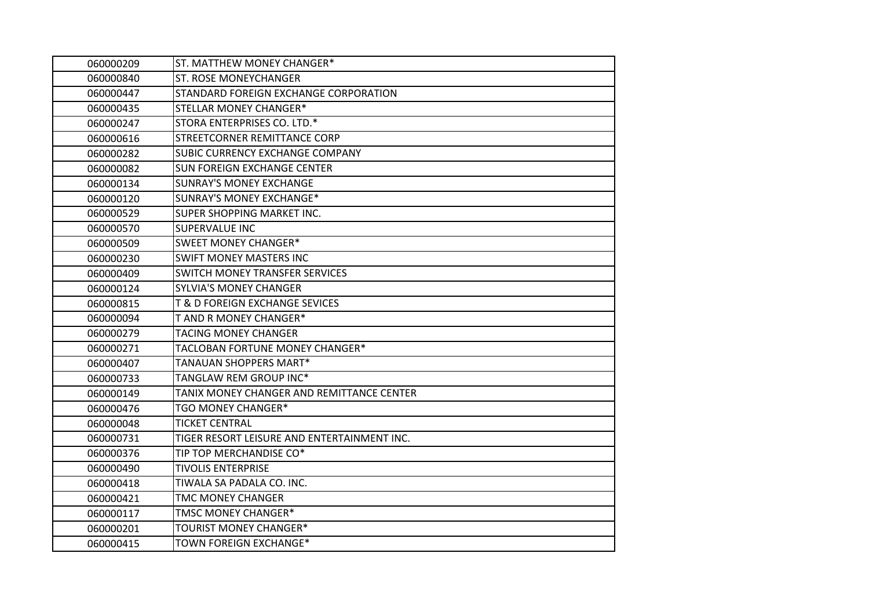| 060000209 | ST. MATTHEW MONEY CHANGER*                  |
|-----------|---------------------------------------------|
| 060000840 | <b>ST. ROSE MONEYCHANGER</b>                |
| 060000447 | STANDARD FOREIGN EXCHANGE CORPORATION       |
| 060000435 | STELLAR MONEY CHANGER*                      |
| 060000247 | STORA ENTERPRISES CO. LTD.*                 |
| 060000616 | STREETCORNER REMITTANCE CORP                |
| 060000282 | SUBIC CURRENCY EXCHANGE COMPANY             |
| 060000082 | <b>SUN FOREIGN EXCHANGE CENTER</b>          |
| 060000134 | <b>SUNRAY'S MONEY EXCHANGE</b>              |
| 060000120 | <b>SUNRAY'S MONEY EXCHANGE*</b>             |
| 060000529 | SUPER SHOPPING MARKET INC.                  |
| 060000570 | SUPERVALUE INC                              |
| 060000509 | SWEET MONEY CHANGER*                        |
| 060000230 | <b>SWIFT MONEY MASTERS INC</b>              |
| 060000409 | SWITCH MONEY TRANSFER SERVICES              |
| 060000124 | <b>SYLVIA'S MONEY CHANGER</b>               |
| 060000815 | <b>T &amp; D FOREIGN EXCHANGE SEVICES</b>   |
| 060000094 | T AND R MONEY CHANGER*                      |
| 060000279 | <b>TACING MONEY CHANGER</b>                 |
| 060000271 | TACLOBAN FORTUNE MONEY CHANGER*             |
| 060000407 | TANAUAN SHOPPERS MART*                      |
| 060000733 | TANGLAW REM GROUP INC*                      |
| 060000149 | TANIX MONEY CHANGER AND REMITTANCE CENTER   |
| 060000476 | TGO MONEY CHANGER*                          |
| 060000048 | <b>TICKET CENTRAL</b>                       |
| 060000731 | TIGER RESORT LEISURE AND ENTERTAINMENT INC. |
| 060000376 | TIP TOP MERCHANDISE CO*                     |
| 060000490 | <b>TIVOLIS ENTERPRISE</b>                   |
| 060000418 | TIWALA SA PADALA CO. INC.                   |
| 060000421 | <b>TMC MONEY CHANGER</b>                    |
| 060000117 | TMSC MONEY CHANGER*                         |
| 060000201 | TOURIST MONEY CHANGER*                      |
| 060000415 | TOWN FOREIGN EXCHANGE*                      |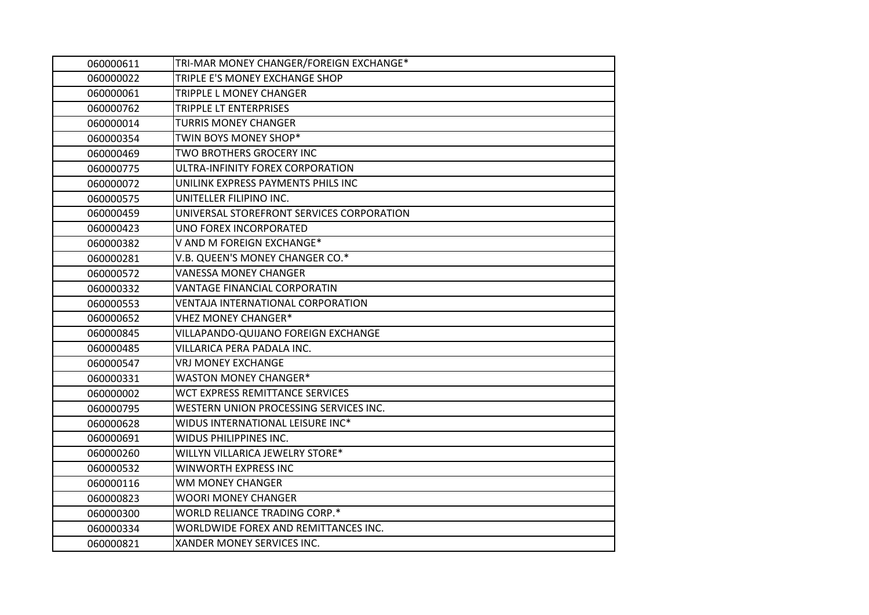| 060000611 | TRI-MAR MONEY CHANGER/FOREIGN EXCHANGE*   |
|-----------|-------------------------------------------|
| 060000022 | TRIPLE E'S MONEY EXCHANGE SHOP            |
| 060000061 | TRIPPLE L MONEY CHANGER                   |
| 060000762 | TRIPPLE LT ENTERPRISES                    |
| 060000014 | <b>TURRIS MONEY CHANGER</b>               |
| 060000354 | TWIN BOYS MONEY SHOP*                     |
| 060000469 | TWO BROTHERS GROCERY INC                  |
| 060000775 | ULTRA-INFINITY FOREX CORPORATION          |
| 060000072 | UNILINK EXPRESS PAYMENTS PHILS INC        |
| 060000575 | UNITELLER FILIPINO INC.                   |
| 060000459 | UNIVERSAL STOREFRONT SERVICES CORPORATION |
| 060000423 | UNO FOREX INCORPORATED                    |
| 060000382 | V AND M FOREIGN EXCHANGE*                 |
| 060000281 | V.B. QUEEN'S MONEY CHANGER CO.*           |
| 060000572 | <b>VANESSA MONEY CHANGER</b>              |
| 060000332 | VANTAGE FINANCIAL CORPORATIN              |
| 060000553 | VENTAJA INTERNATIONAL CORPORATION         |
| 060000652 | <b>VHEZ MONEY CHANGER*</b>                |
| 060000845 | VILLAPANDO-QUIJANO FOREIGN EXCHANGE       |
| 060000485 | VILLARICA PERA PADALA INC.                |
| 060000547 | <b>VRJ MONEY EXCHANGE</b>                 |
| 060000331 | <b>WASTON MONEY CHANGER*</b>              |
| 060000002 | WCT EXPRESS REMITTANCE SERVICES           |
| 060000795 | WESTERN UNION PROCESSING SERVICES INC.    |
| 060000628 | WIDUS INTERNATIONAL LEISURE INC*          |
| 060000691 | WIDUS PHILIPPINES INC.                    |
| 060000260 | WILLYN VILLARICA JEWELRY STORE*           |
| 060000532 | WINWORTH EXPRESS INC                      |
| 060000116 | <b>WM MONEY CHANGER</b>                   |
| 060000823 | <b>WOORI MONEY CHANGER</b>                |
| 060000300 | WORLD RELIANCE TRADING CORP.*             |
| 060000334 | WORLDWIDE FOREX AND REMITTANCES INC.      |
| 060000821 | XANDER MONEY SERVICES INC.                |